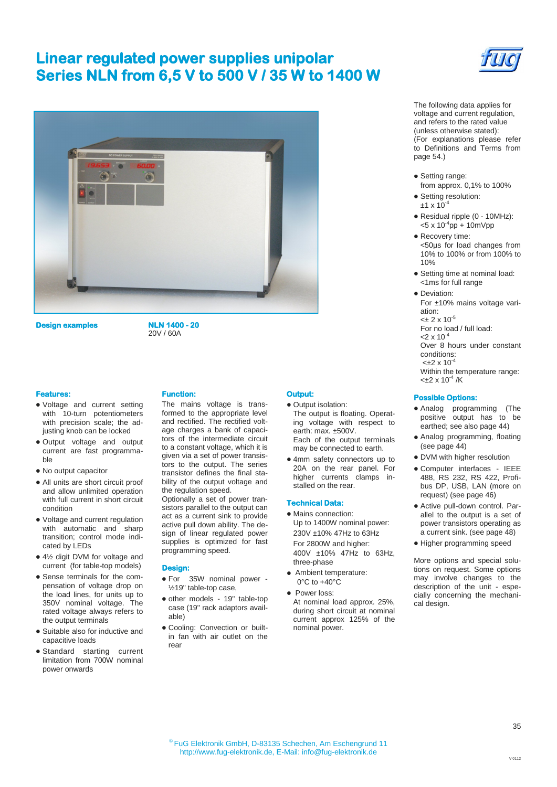# **Linear regulated power supplies unipolar Series NLN from 6,5 V to 500 V / 35 W to 1400 W**



**Design examples NLN 1400 - 20** 

20V / 60A

### **Features:**

- Voltage and current setting with 10-turn potentiometers with precision scale; the adjusting knob can be locked
- Output voltage and output current are fast programmable
- No output capacitor
- All units are short circuit proof and allow unlimited operation with full current in short circuit condition
- Voltage and current regulation with automatic and sharp transition; control mode indicated by LEDs
- 4½ digit DVM for voltage and current (for table-top models)
- Sense terminals for the compensation of voltage drop on the load lines, for units up to 350V nominal voltage. The rated voltage always refers to the output terminals
- Suitable also for inductive and capacitive loads
- Standard starting current limitation from 700W nominal power onwards

### **Function:**

The mains voltage is transformed to the appropriate level and rectified. The rectified voltage charges a bank of capacitors of the intermediate circuit to a constant voltage, which it is given via a set of power transistors to the output. The series transistor defines the final stability of the output voltage and the regulation speed.

Optionally a set of power transistors parallel to the output can act as a current sink to provide active pull down ability. The design of linear regulated power supplies is optimized for fast programming speed.

#### **Design:**

- For 35W nominal power ½19" table-top case,
- other models 19" table-top case (19" rack adaptors available)
- Cooling: Convection or builtin fan with air outlet on the rear

## **Output:**

- Output isolation: The output is floating. Operating voltage with respect to earth: max. ±500V. Each of the output terminals
- may be connected to earth. 4mm safety connectors up to 20A on the rear panel. For higher currents clamps installed on the rear.

#### **Technical Data:**

- Mains connection: Up to 1400W nominal power: 230V ±10% 47Hz to 63Hz For 2800W and higher: 400V ±10% 47Hz to 63Hz, three-phase
- Ambient temperature: 0°C to +40°C
- Power loss: At nominal load approx. 25%, during short circuit at nominal current approx 125% of the nominal power.



The following data applies for voltage and current regulation, and refers to the rated value (unless otherwise stated): (For explanations please refer to Definitions and Terms from page 54.)

- Setting range:
- from approx. 0,1% to 100%
- Setting resolution:  $±1 \times 10^{-4}$
- Residual ripple (0 10MHz):  $<$ 5 x 10<sup>-4</sup>pp + 10mVpp
- Recovery time: <50µs for load changes from 10% to 100% or from 100% to 10%
- Setting time at nominal load: <1ms for full range
- Deviation: For ±10% mains voltage variation:  $<\pm 2 \times 10^{-5}$ 
	- For no load / full load:
	- $< 2 \times 10^{-7}$

Over 8 hours under constant conditions:

 $< +2 \times 10^{-7}$ 

Within the temperature range:  $<\pm 2 \times 10^{-4}$  /K

### **Possible Options:**

- Analog programming (The positive output has to be earthed; see also page 44)
- Analog programming, floating (see page 44)
- DVM with higher resolution
- Computer interfaces IEEE 488, RS 232, RS 422, Profibus DP, USB, LAN (more on request) (see page 46)
- Active pull-down control. Parallel to the output is a set of power transistors operating as a current sink. (see page 48)
- Higher programming speed

More options and special solutions on request. Some options may involve changes to the description of the unit - especially concerning the mechanical design.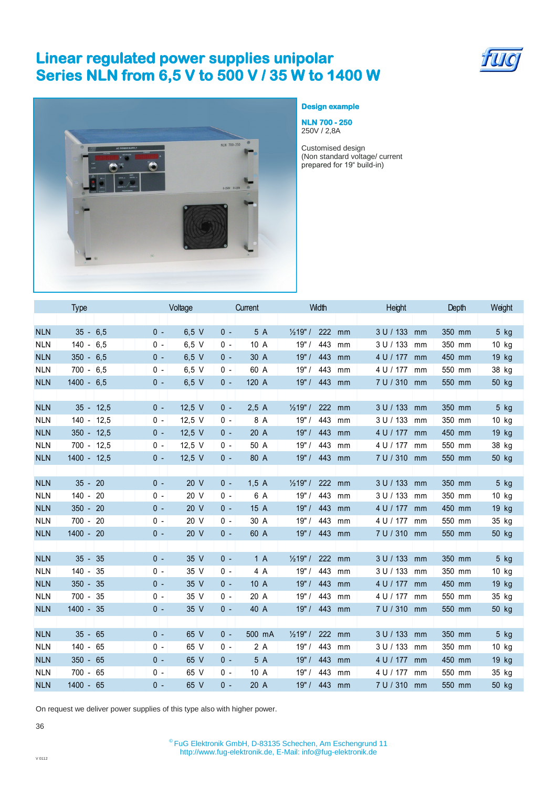# **Linear regulated power supplies unipolar Series NLN from 6,5 V to 500 V / 35 W to 1400 W**





## **Design example**

**NLN 700 - 250**  250V / 2,8A

Customised design (Non standard voltage/ current prepared for 19" build-in)

|            | <b>Type</b>    | Voltage                  | Current         | Width                            | Height          | Depth  | Weight  |
|------------|----------------|--------------------------|-----------------|----------------------------------|-----------------|--------|---------|
|            |                |                          |                 |                                  |                 |        |         |
| <b>NLN</b> | $35 - 6,5$     | $6,5$ V<br>$0 -$         | $0 -$<br>5 A    | 222<br>$\frac{1}{2}$ 19" /<br>mm | 3 U / 133<br>mm | 350 mm | $5$ kg  |
| <b>NLN</b> | $140 -$<br>6,5 | $6,5$ V<br>$0 -$         | 10 A<br>$0 -$   | 19"<br>443<br>mm                 | 3 U / 133<br>mm | 350 mm | 10 kg   |
| <b>NLN</b> | $350 - 6,5$    | $6,5$ V<br>$0 -$         | 30 A<br>$0 -$   | 19"/<br>443<br>mm                | 4 U / 177<br>mm | 450 mm | 19 kg   |
| <b>NLN</b> | $700 - 6,5$    | $6,5$ V<br>$0 -$         | 60 A<br>$0 -$   | $19"$ /<br>443<br>mm             | 4 U / 177<br>mm | 550 mm | 38 kg   |
| <b>NLN</b> | $1400 - 6,5$   | $6,5$ V<br>$0 -$         | $0 -$<br>120 A  | 19"/<br>443<br>mm                | 7 U / 310<br>mm | 550 mm | 50 kg   |
|            |                |                          |                 |                                  |                 |        |         |
| <b>NLN</b> | $35 - 12,5$    | 12,5 $V$<br>$0 -$        | 2,5A<br>$0 -$   | $\frac{1}{2}19"$ /<br>222<br>mm  | 3 U / 133<br>mm | 350 mm | $5$ kg  |
| <b>NLN</b> | $140 - 12,5$   | $12,5$ V<br>0 -          | $0 -$<br>8 A    | 19"/<br>443<br>mm                | 3 U / 133<br>mm | 350 mm | $10$ kg |
| <b>NLN</b> | $350 - 12,5$   | 12,5 $V$<br>$0 -$        | $0 -$<br>20 A   | 443<br>19"/<br>mm                | 4 U / 177<br>mm | 450 mm | 19 kg   |
| <b>NLN</b> | $700 - 12,5$   | $12,5$ V<br>$0 -$        | 50 A<br>$0 -$   | 19"<br>443<br>mm                 | 4 U / 177<br>mm | 550 mm | 38 kg   |
| <b>NLN</b> | $1400 - 12,5$  | 12,5 $V$<br>$0 -$        | $0 -$<br>80 A   | 19"/<br>443<br>mm                | 7 U / 310 mm    | 550 mm | 50 kg   |
|            |                |                          |                 |                                  |                 |        |         |
| <b>NLN</b> | 20<br>$35 -$   | 20 V<br>$0 -$            | $0 -$<br>1,5A   | $\frac{1}{2}$ 19" /<br>222<br>mm | 3 U / 133<br>mm | 350 mm | 5 kg    |
| <b>NLN</b> | $140 -$<br>20  | $0 -$<br>20 V            | $0 -$<br>6 A    | 19"/<br>443<br>mm                | 3 U / 133<br>mm | 350 mm | $10$ kg |
| <b>NLN</b> | $350 - 20$     | 20 V<br>$0 -$            | $0 -$<br>15 A   | 19"/<br>443<br>mm                | 4 U / 177<br>mm | 450 mm | $19$ kg |
| <b>NLN</b> | $700 - 20$     | $0 -$<br>20 V            | $0 -$<br>30 A   | 19"/<br>443<br>mm                | 4 U / 177<br>mm | 550 mm | 35 kg   |
| <b>NLN</b> | $1400 - 20$    | 20 <sub>V</sub><br>$0 -$ | 60 A<br>$0 -$   | 19"/<br>443<br>mm                | 7 U / 310 mm    | 550 mm | 50 kg   |
|            |                |                          |                 |                                  |                 |        |         |
| <b>NLN</b> | 35<br>$35 -$   | 35 V<br>$0 -$            | $0 -$<br>1A     | $\frac{1}{2}$ 19" /<br>222<br>mm | 3 U / 133<br>mm | 350 mm | 5 kg    |
| <b>NLN</b> | $140 -$<br>35  | 35 V<br>0 -              | 4 A<br>0 -      | 19"<br>443<br>mm                 | 3 U / 133<br>mm | 350 mm | $10$ kg |
| <b>NLN</b> | $350 - 35$     | 35 V<br>$0 -$            | $0 -$<br>10 A   | 19"/<br>443<br>mm                | 4 U / 177<br>mm | 450 mm | 19 kg   |
| <b>NLN</b> | $700 -$<br>35  | 35 V<br>$0 -$            | 20 A<br>$0 -$   | 19"<br>443<br>mm                 | 4 U / 177<br>mm | 550 mm | 35 kg   |
| <b>NLN</b> | $1400 - 35$    | $0 -$<br>35 V            | $0 -$<br>40 A   | 19"/<br>443<br>mm                | 7 U / 310 mm    | 550 mm | 50 kg   |
|            |                |                          |                 |                                  |                 |        |         |
| <b>NLN</b> | $35 -$<br>65   | 65 V<br>$0 -$            | $0 -$<br>500 mA | $\frac{1}{2}$ 19" /<br>222<br>mm | 3 U / 133<br>mm | 350 mm | 5 kg    |
| <b>NLN</b> | $140 - 65$     | 65 V<br>0 -              | 2A<br>0 -       | 19"/<br>443<br>mm                | 3 U / 133<br>mm | 350 mm | 10 kg   |
| <b>NLN</b> | $350 - 65$     | 65 V<br>$0 -$            | 5 A<br>$0 -$    | 19"/<br>443<br>mm                | 4 U / 177<br>mm | 450 mm | $19$ kg |
| <b>NLN</b> | $700 - 65$     | 65 V<br>$0 -$            | 10A<br>$0 -$    | 19"/<br>443<br>mm                | 4 U / 177<br>mm | 550 mm | 35 kg   |
| <b>NLN</b> | $1400 - 65$    | 65 V<br>$0 -$            | $0 -$<br>20 A   | 19"/<br>443<br>mm                | 7 U / 310 mm    | 550 mm | 50 kg   |
|            |                |                          |                 |                                  |                 |        |         |

On request we deliver power supplies of this type also with higher power.

36